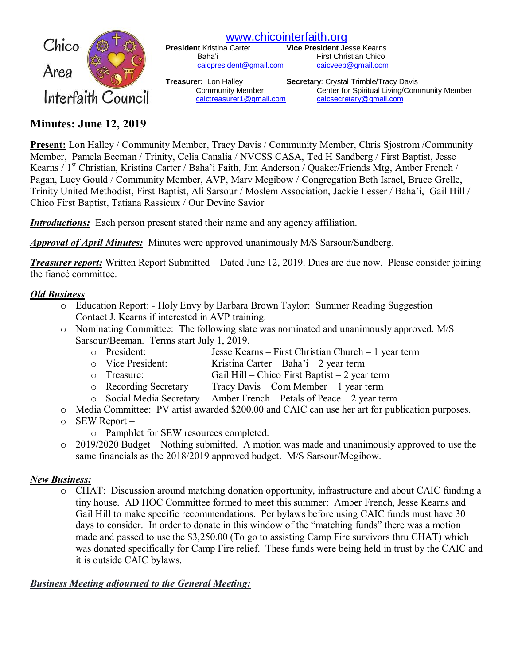

[www.chicointerfaith.org](file:///C:/Users/CSL/Downloads/www.chicointerfaith.org)<br>President Kristina Carter **Vice President** Je

Baha'i **First Christian Chico** 

**Vice President Jesse Kearns** [caicpresident@gmail.com](mailto:caicpresident@gmail.com) [caicveep@gmail.com](mailto:caicveep@gmail.com)

**Treasurer:** Lon Halley **Secretary:** Crystal Trimble/Tracy Davis Community Member Center for Spiritual Living/Community Member [caictreasurer1@gmail.com](mailto:caictreasurer1@gmail.com) [caicsecretary@gmail.com](mailto:caicsecretary@gmail.com)

# **Minutes: June 12, 2019**

**Present:** Lon Halley / Community Member, Tracy Davis / Community Member, Chris Sjostrom /Community Member, Pamela Beeman / Trinity, Celia Canalia / NVCSS CASA, Ted H Sandberg / First Baptist, Jesse Kearns / 1<sup>st</sup> Christian, Kristina Carter / Baha'i Faith, Jim Anderson / Quaker/Friends Mtg, Amber French / Pagan, Lucy Gould / Community Member, AVP, Marv Megibow / Congregation Beth Israel, Bruce Grelle, Trinity United Methodist, First Baptist, Ali Sarsour / Moslem Association, Jackie Lesser / Baha'i, Gail Hill / Chico First Baptist, Tatiana Rassieux / Our Devine Savior

*Introductions:* Each person present stated their name and any agency affiliation.

*Approval of April Minutes:*Minutes were approved unanimously M/S Sarsour/Sandberg.

*Treasurer report:* Written Report Submitted – Dated June 12, 2019. Dues are due now. Please consider joining the fiancé committee.

## *Old Business*

- o Education Report: Holy Envy by Barbara Brown Taylor: Summer Reading Suggestion Contact J. Kearns if interested in AVP training.
- o Nominating Committee: The following slate was nominated and unanimously approved. M/S Sarsour/Beeman. Terms start July 1, 2019.
	- o President: Jesse Kearns First Christian Church 1 year term
	- o Vice President: Kristina Carter Baha'i 2 year term
	- o Treasure: Gail Hill Chico First Baptist 2 year term
	- o Recording Secretary Tracy Davis Com Member 1 year term
	- o Social Media Secretary Amber French Petals of Peace 2 year term
- o Media Committee: PV artist awarded \$200.00 and CAIC can use her art for publication purposes.
- o SEW Report
	- o Pamphlet for SEW resources completed.
- $\circ$  2019/2020 Budget Nothing submitted. A motion was made and unanimously approved to use the same financials as the 2018/2019 approved budget. M/S Sarsour/Megibow.

## *New Business:*

o CHAT: Discussion around matching donation opportunity, infrastructure and about CAIC funding a tiny house. AD HOC Committee formed to meet this summer: Amber French, Jesse Kearns and Gail Hill to make specific recommendations. Per bylaws before using CAIC funds must have 30 days to consider. In order to donate in this window of the "matching funds" there was a motion made and passed to use the \$3,250.00 (To go to assisting Camp Fire survivors thru CHAT) which was donated specifically for Camp Fire relief. These funds were being held in trust by the CAIC and it is outside CAIC bylaws.

## *Business Meeting adjourned to the General Meeting:*